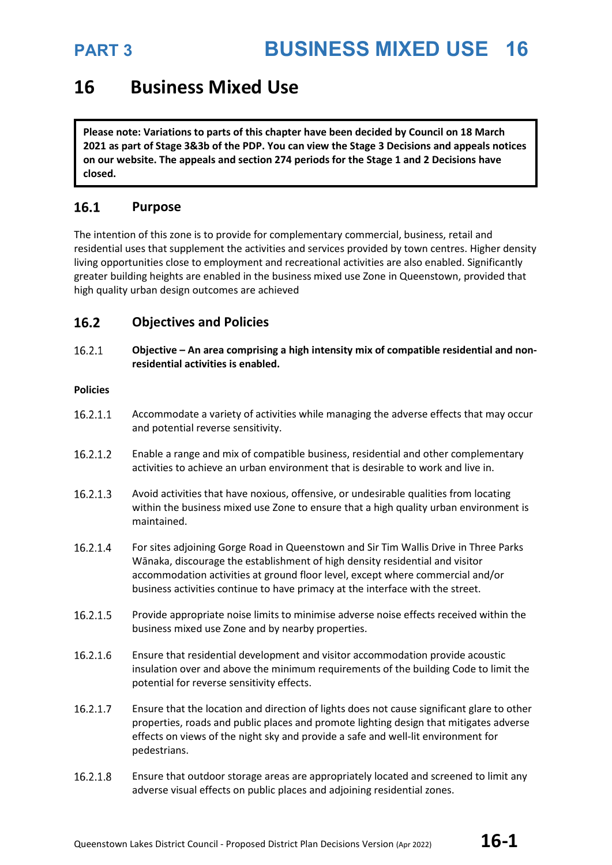### **16 Business Mixed Use**

**Please note: Variations to parts of this chapter have been decided by Council on 18 March 2021 as part of Stage 3&3b of the PDP. You can view the Stage 3 Decisions and appeals notices on our website. The appeals and section 274 periods for the Stage 1 and 2 Decisions have closed.**

### 16.1 **Purpose**

The intention of this zone is to provide for complementary commercial, business, retail and residential uses that supplement the activities and services provided by town centres. Higher density living opportunities close to employment and recreational activities are also enabled. Significantly greater building heights are enabled in the business mixed use Zone in Queenstown, provided that high quality urban design outcomes are achieved

### $16.2$ **Objectives and Policies**

16.2.1 **Objective – An area comprising a high intensity mix of compatible residential and nonresidential activities is enabled.**

### **Policies**

- 16.2.1.1 Accommodate a variety of activities while managing the adverse effects that may occur and potential reverse sensitivity.
- 16.2.1.2 Enable a range and mix of compatible business, residential and other complementary activities to achieve an urban environment that is desirable to work and live in.
- 16.2.1.3 Avoid activities that have noxious, offensive, or undesirable qualities from locating within the business mixed use Zone to ensure that a high quality urban environment is maintained.
- 16.2.1.4 For sites adjoining Gorge Road in Queenstown and Sir Tim Wallis Drive in Three Parks Wānaka, discourage the establishment of high density residential and visitor accommodation activities at ground floor level, except where commercial and/or business activities continue to have primacy at the interface with the street.
- 16.2.1.5 Provide appropriate noise limits to minimise adverse noise effects received within the business mixed use Zone and by nearby properties.
- 16.2.1.6 Ensure that residential development and visitor accommodation provide acoustic insulation over and above the minimum requirements of the building Code to limit the potential for reverse sensitivity effects.
- 16.2.1.7 Ensure that the location and direction of lights does not cause significant glare to other properties, roads and public places and promote lighting design that mitigates adverse effects on views of the night sky and provide a safe and well-lit environment for pedestrians.
- 16.2.1.8 Ensure that outdoor storage areas are appropriately located and screened to limit any adverse visual effects on public places and adjoining residential zones.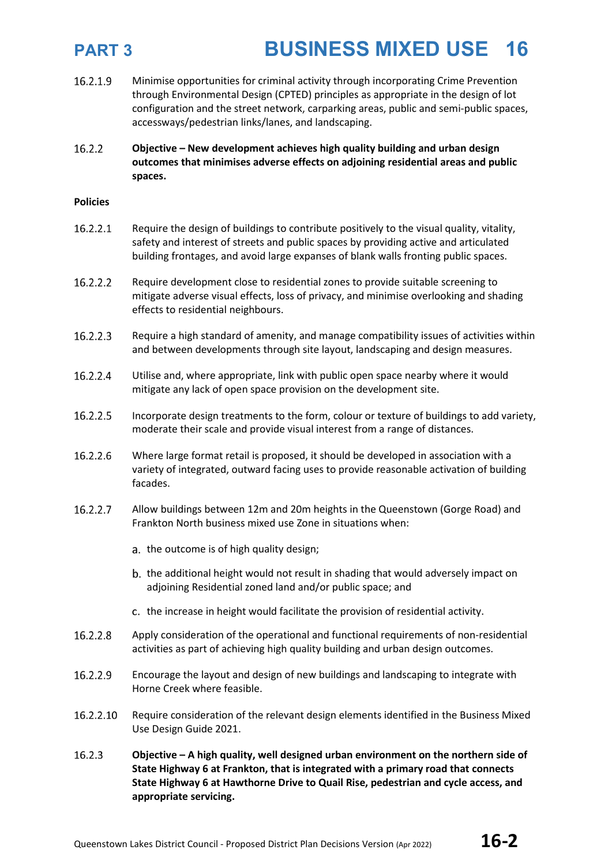- 16.2.1.9 Minimise opportunities for criminal activity through incorporating Crime Prevention through Environmental Design (CPTED) principles as appropriate in the design of lot configuration and the street network, carparking areas, public and semi-public spaces, accessways/pedestrian links/lanes, and landscaping.
- 16.2.2 **Objective – New development achieves high quality building and urban design outcomes that minimises adverse effects on adjoining residential areas and public spaces.**

### **Policies**

- 16.2.2.1 Require the design of buildings to contribute positively to the visual quality, vitality, safety and interest of streets and public spaces by providing active and articulated building frontages, and avoid large expanses of blank walls fronting public spaces.
- 16.2.2.2 Require development close to residential zones to provide suitable screening to mitigate adverse visual effects, loss of privacy, and minimise overlooking and shading effects to residential neighbours.
- 16.2.2.3 Require a high standard of amenity, and manage compatibility issues of activities within and between developments through site layout, landscaping and design measures.
- 16.2.2.4 Utilise and, where appropriate, link with public open space nearby where it would mitigate any lack of open space provision on the development site.
- 16.2.2.5 Incorporate design treatments to the form, colour or texture of buildings to add variety, moderate their scale and provide visual interest from a range of distances.
- 16.2.2.6 Where large format retail is proposed, it should be developed in association with a variety of integrated, outward facing uses to provide reasonable activation of building facades.
- 16.2.2.7 Allow buildings between 12m and 20m heights in the Queenstown (Gorge Road) and Frankton North business mixed use Zone in situations when:
	- a. the outcome is of high quality design;
	- b. the additional height would not result in shading that would adversely impact on adjoining Residential zoned land and/or public space; and
	- c. the increase in height would facilitate the provision of residential activity.
- 16.2.2.8 Apply consideration of the operational and functional requirements of non-residential activities as part of achieving high quality building and urban design outcomes.
- 16.2.2.9 Encourage the layout and design of new buildings and landscaping to integrate with Horne Creek where feasible.
- 16.2.2.10 Require consideration of the relevant design elements identified in the Business Mixed Use Design Guide 2021.
- 16.2.3 **Objective – A high quality, well designed urban environment on the northern side of State Highway 6 at Frankton, that is integrated with a primary road that connects State Highway 6 at Hawthorne Drive to Quail Rise, pedestrian and cycle access, and appropriate servicing.**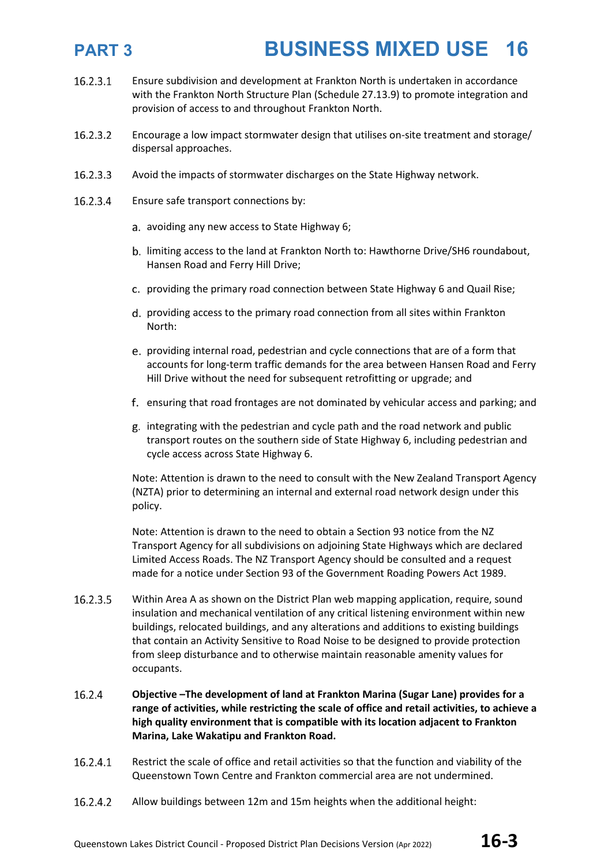- 16.2.3.1 Ensure subdivision and development at Frankton North is undertaken in accordance with the Frankton North Structure Plan (Schedule 27.13.9) to promote integration and provision of access to and throughout Frankton North.
- 16.2.3.2 Encourage a low impact stormwater design that utilises on-site treatment and storage/ dispersal approaches.
- 16.2.3.3 Avoid the impacts of stormwater discharges on the State Highway network.
- 16.2.3.4 Ensure safe transport connections by:
	- a. avoiding any new access to State Highway 6;
	- b. limiting access to the land at Frankton North to: Hawthorne Drive/SH6 roundabout, Hansen Road and Ferry Hill Drive;
	- c. providing the primary road connection between State Highway 6 and Quail Rise;
	- d. providing access to the primary road connection from all sites within Frankton North:
	- providing internal road, pedestrian and cycle connections that are of a form that accounts for long-term traffic demands for the area between Hansen Road and Ferry Hill Drive without the need for subsequent retrofitting or upgrade; and
	- ensuring that road frontages are not dominated by vehicular access and parking; and
	- integrating with the pedestrian and cycle path and the road network and public transport routes on the southern side of State Highway 6, including pedestrian and cycle access across State Highway 6.

Note: Attention is drawn to the need to consult with the New Zealand Transport Agency (NZTA) prior to determining an internal and external road network design under this policy.

Note: Attention is drawn to the need to obtain a Section 93 notice from the NZ Transport Agency for all subdivisions on adjoining State Highways which are declared Limited Access Roads. The NZ Transport Agency should be consulted and a request made for a notice under Section 93 of the Government Roading Powers Act 1989.

- 16.2.3.5 Within Area A as shown on the District Plan web mapping application, require, sound insulation and mechanical ventilation of any critical listening environment within new buildings, relocated buildings, and any alterations and additions to existing buildings that contain an Activity Sensitive to Road Noise to be designed to provide protection from sleep disturbance and to otherwise maintain reasonable amenity values for occupants.
- 16.2.4 **Objective –The development of land at Frankton Marina (Sugar Lane) provides for a range of activities, while restricting the scale of office and retail activities, to achieve a high quality environment that is compatible with its location adjacent to Frankton Marina, Lake Wakatipu and Frankton Road.**
- 16.2.4.1 Restrict the scale of office and retail activities so that the function and viability of the Queenstown Town Centre and Frankton commercial area are not undermined.
- 16.2.4.2 Allow buildings between 12m and 15m heights when the additional height: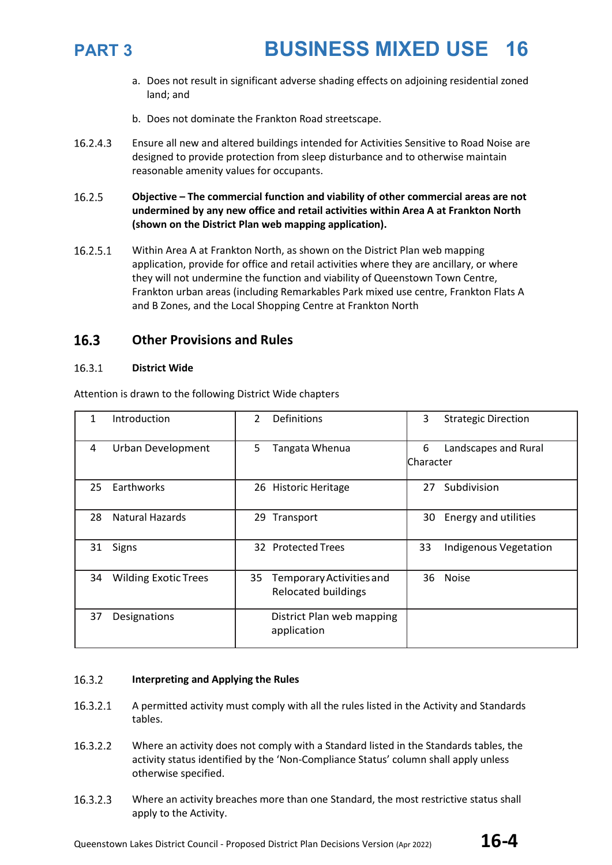

- a. Does not result in significant adverse shading effects on adjoining residential zoned land; and
- b. Does not dominate the Frankton Road streetscape.
- 16.2.4.3 Ensure all new and altered buildings intended for Activities Sensitive to Road Noise are designed to provide protection from sleep disturbance and to otherwise maintain reasonable amenity values for occupants.
- 16.2.5 **Objective – The commercial function and viability of other commercial areas are not undermined by any new office and retail activities within Area A at Frankton North (shown on the District Plan web mapping application).**
- 16.2.5.1 Within Area A at Frankton North, as shown on the District Plan web mapping application, provide for office and retail activities where they are ancillary, or where they will not undermine the function and viability of Queenstown Town Centre, Frankton urban areas (including Remarkables Park mixed use centre, Frankton Flats A and B Zones, and the Local Shopping Centre at Frankton North

### 16.3 **Other Provisions and Rules**

### 16.3.1 **District Wide**

| 1  | Introduction                | $\mathcal{P}$ | Definitions                                            | 3               | <b>Strategic Direction</b> |
|----|-----------------------------|---------------|--------------------------------------------------------|-----------------|----------------------------|
| 4  | <b>Urban Development</b>    | 5             | Tangata Whenua                                         | 6<br>lCharacter | Landscapes and Rural       |
| 25 | Earthworks                  |               | 26 Historic Heritage                                   | 27              | Subdivision                |
| 28 | <b>Natural Hazards</b>      | 29            | Transport                                              | 30              | Energy and utilities       |
| 31 | Signs                       |               | 32 Protected Trees                                     | 33              | Indigenous Vegetation      |
| 34 | <b>Wilding Exotic Trees</b> | 35            | Temporary Activities and<br><b>Relocated buildings</b> | 36              | <b>Noise</b>               |
| 37 | Designations                |               | District Plan web mapping<br>application               |                 |                            |

Attention is drawn to the following District Wide chapters

### 16.3.2 **Interpreting and Applying the Rules**

- 16.3.2.1 A permitted activity must comply with all the rules listed in the Activity and Standards tables.
- 16.3.2.2 Where an activity does not comply with a Standard listed in the Standards tables, the activity status identified by the 'Non-Compliance Status' column shall apply unless otherwise specified.
- 16.3.2.3 Where an activity breaches more than one Standard, the most restrictive status shall apply to the Activity.

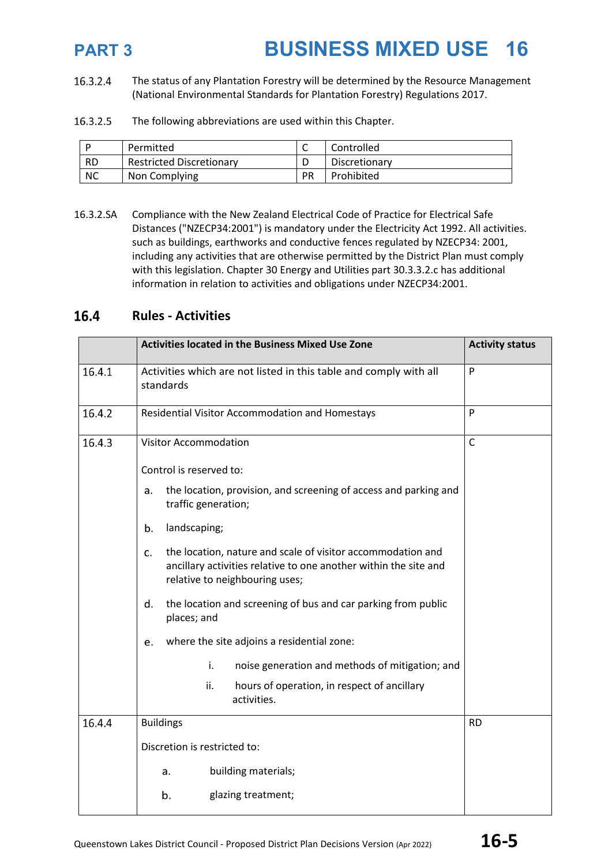16.3.2.4 The status of any Plantation Forestry will be determined by the Resource Management (National Environmental Standards for Plantation Forestry) Regulations 2017.

16.3.2.5 The following abbreviations are used within this Chapter.

|           | Permitted                       |    | Controlled    |
|-----------|---------------------------------|----|---------------|
| <b>RD</b> | <b>Restricted Discretionary</b> |    | Discretionary |
| <b>NC</b> | Non Complying                   | PR | Prohibited    |

16.3.2.SA Compliance with the New Zealand Electrical Code of Practice for Electrical Safe Distances ("NZECP34:2001") is mandatory under the Electricity Act 1992. All activities. such as buildings, earthworks and conductive fences regulated by NZECP34: 2001, including any activities that are otherwise permitted by the District Plan must comply with this legislation. Chapter 30 Energy and Utilities part 30.3.3.2.c has additional information in relation to activities and obligations under NZECP34:2001.

### 16.4 **Rules - Activities**

|        | <b>Activities located in the Business Mixed Use Zone</b>                                                                                                                | <b>Activity status</b> |
|--------|-------------------------------------------------------------------------------------------------------------------------------------------------------------------------|------------------------|
| 16.4.1 | Activities which are not listed in this table and comply with all<br>standards                                                                                          | P                      |
| 16.4.2 | Residential Visitor Accommodation and Homestays                                                                                                                         | P                      |
| 16.4.3 | <b>Visitor Accommodation</b>                                                                                                                                            | $\mathsf{C}$           |
|        | Control is reserved to:                                                                                                                                                 |                        |
|        | the location, provision, and screening of access and parking and<br>a.<br>traffic generation;                                                                           |                        |
|        | landscaping;<br>b.                                                                                                                                                      |                        |
|        | the location, nature and scale of visitor accommodation and<br>c.<br>ancillary activities relative to one another within the site and<br>relative to neighbouring uses; |                        |
|        | the location and screening of bus and car parking from public<br>d.<br>places; and                                                                                      |                        |
|        | where the site adjoins a residential zone:<br>e.                                                                                                                        |                        |
|        | i.<br>noise generation and methods of mitigation; and                                                                                                                   |                        |
|        | ii.<br>hours of operation, in respect of ancillary<br>activities.                                                                                                       |                        |
| 16.4.4 | <b>Buildings</b>                                                                                                                                                        | <b>RD</b>              |
|        | Discretion is restricted to:                                                                                                                                            |                        |
|        | building materials;<br>a.                                                                                                                                               |                        |
|        | b.<br>glazing treatment;                                                                                                                                                |                        |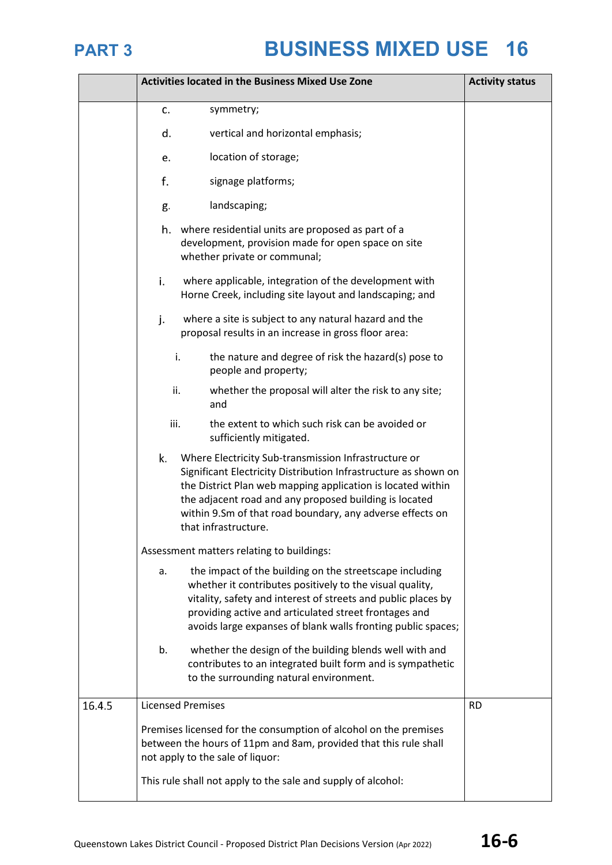|        | <b>Activities located in the Business Mixed Use Zone</b>                                                                                                                                                                                                                                                                                    | <b>Activity status</b> |
|--------|---------------------------------------------------------------------------------------------------------------------------------------------------------------------------------------------------------------------------------------------------------------------------------------------------------------------------------------------|------------------------|
|        | symmetry;<br>c.                                                                                                                                                                                                                                                                                                                             |                        |
|        | vertical and horizontal emphasis;<br>d.                                                                                                                                                                                                                                                                                                     |                        |
|        | location of storage;<br>e.                                                                                                                                                                                                                                                                                                                  |                        |
|        | f.<br>signage platforms;                                                                                                                                                                                                                                                                                                                    |                        |
|        | landscaping;<br>g.                                                                                                                                                                                                                                                                                                                          |                        |
|        | where residential units are proposed as part of a<br>h.<br>development, provision made for open space on site<br>whether private or communal;                                                                                                                                                                                               |                        |
|        | i.<br>where applicable, integration of the development with<br>Horne Creek, including site layout and landscaping; and                                                                                                                                                                                                                      |                        |
|        | j.<br>where a site is subject to any natural hazard and the<br>proposal results in an increase in gross floor area:                                                                                                                                                                                                                         |                        |
|        | the nature and degree of risk the hazard(s) pose to<br>i.<br>people and property;                                                                                                                                                                                                                                                           |                        |
|        | ii.<br>whether the proposal will alter the risk to any site;<br>and                                                                                                                                                                                                                                                                         |                        |
|        | iii.<br>the extent to which such risk can be avoided or<br>sufficiently mitigated.                                                                                                                                                                                                                                                          |                        |
|        | k.<br>Where Electricity Sub-transmission Infrastructure or<br>Significant Electricity Distribution Infrastructure as shown on<br>the District Plan web mapping application is located within<br>the adjacent road and any proposed building is located<br>within 9.Sm of that road boundary, any adverse effects on<br>that infrastructure. |                        |
|        | Assessment matters relating to buildings:                                                                                                                                                                                                                                                                                                   |                        |
|        | the impact of the building on the streetscape including<br>a.<br>whether it contributes positively to the visual quality,<br>vitality, safety and interest of streets and public places by<br>providing active and articulated street frontages and<br>avoids large expanses of blank walls fronting public spaces;                         |                        |
|        | b.<br>whether the design of the building blends well with and<br>contributes to an integrated built form and is sympathetic<br>to the surrounding natural environment.                                                                                                                                                                      |                        |
| 16.4.5 | <b>Licensed Premises</b>                                                                                                                                                                                                                                                                                                                    | <b>RD</b>              |
|        | Premises licensed for the consumption of alcohol on the premises<br>between the hours of 11pm and 8am, provided that this rule shall<br>not apply to the sale of liquor:                                                                                                                                                                    |                        |
|        | This rule shall not apply to the sale and supply of alcohol:                                                                                                                                                                                                                                                                                |                        |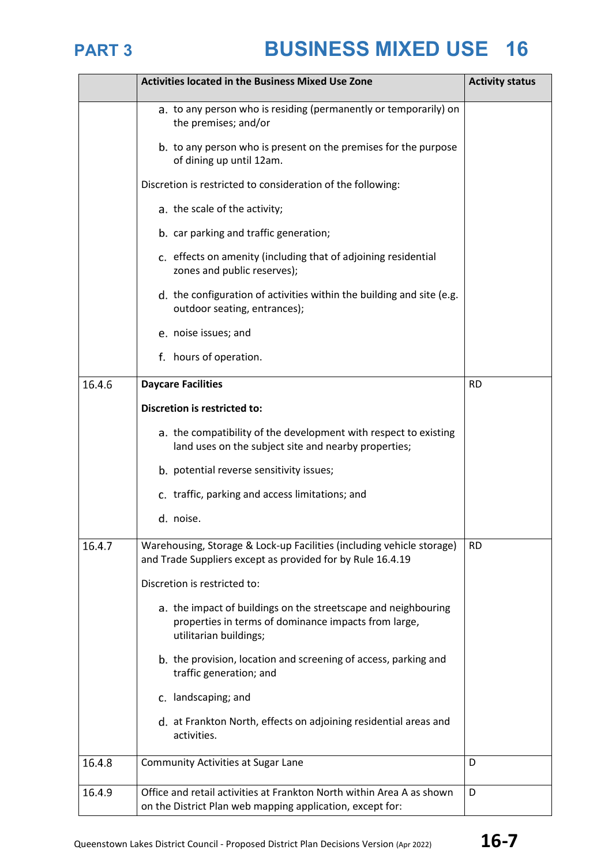

|        | <b>Activities located in the Business Mixed Use Zone</b>                                                                                         | <b>Activity status</b> |
|--------|--------------------------------------------------------------------------------------------------------------------------------------------------|------------------------|
|        | a. to any person who is residing (permanently or temporarily) on<br>the premises; and/or                                                         |                        |
|        | b. to any person who is present on the premises for the purpose<br>of dining up until 12am.                                                      |                        |
|        | Discretion is restricted to consideration of the following:                                                                                      |                        |
|        | a. the scale of the activity;                                                                                                                    |                        |
|        | b. car parking and traffic generation;                                                                                                           |                        |
|        | c. effects on amenity (including that of adjoining residential<br>zones and public reserves);                                                    |                        |
|        | d. the configuration of activities within the building and site (e.g.<br>outdoor seating, entrances);                                            |                        |
|        | e. noise issues; and                                                                                                                             |                        |
|        | f. hours of operation.                                                                                                                           |                        |
| 16.4.6 | <b>Daycare Facilities</b>                                                                                                                        | <b>RD</b>              |
|        | Discretion is restricted to:                                                                                                                     |                        |
|        | a. the compatibility of the development with respect to existing<br>land uses on the subject site and nearby properties;                         |                        |
|        | b. potential reverse sensitivity issues;                                                                                                         |                        |
|        | c. traffic, parking and access limitations; and                                                                                                  |                        |
|        | d. noise.                                                                                                                                        |                        |
| 16.4.7 | Warehousing, Storage & Lock-up Facilities (including vehicle storage)<br>and Trade Suppliers except as provided for by Rule 16.4.19              | <b>RD</b>              |
|        | Discretion is restricted to:                                                                                                                     |                        |
|        | a. the impact of buildings on the streetscape and neighbouring<br>properties in terms of dominance impacts from large,<br>utilitarian buildings; |                        |
|        | b. the provision, location and screening of access, parking and<br>traffic generation; and                                                       |                        |
|        | c. landscaping; and                                                                                                                              |                        |
|        | d. at Frankton North, effects on adjoining residential areas and<br>activities.                                                                  |                        |
| 16.4.8 | <b>Community Activities at Sugar Lane</b>                                                                                                        | D                      |
| 16.4.9 | Office and retail activities at Frankton North within Area A as shown<br>on the District Plan web mapping application, except for:               | D                      |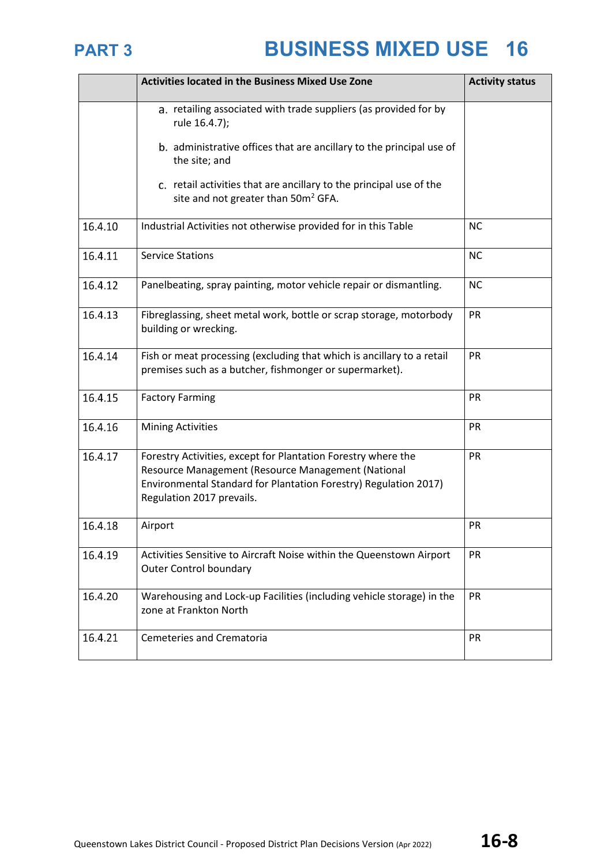|         | <b>Activities located in the Business Mixed Use Zone</b>                                                                                                                                                             | <b>Activity status</b> |
|---------|----------------------------------------------------------------------------------------------------------------------------------------------------------------------------------------------------------------------|------------------------|
|         | a. retailing associated with trade suppliers (as provided for by<br>rule 16.4.7);                                                                                                                                    |                        |
|         | b. administrative offices that are ancillary to the principal use of<br>the site; and                                                                                                                                |                        |
|         | c. retail activities that are ancillary to the principal use of the<br>site and not greater than 50m <sup>2</sup> GFA.                                                                                               |                        |
| 16.4.10 | Industrial Activities not otherwise provided for in this Table                                                                                                                                                       | <b>NC</b>              |
| 16.4.11 | <b>Service Stations</b>                                                                                                                                                                                              | <b>NC</b>              |
| 16.4.12 | Panelbeating, spray painting, motor vehicle repair or dismantling.                                                                                                                                                   | <b>NC</b>              |
| 16.4.13 | Fibreglassing, sheet metal work, bottle or scrap storage, motorbody<br>building or wrecking.                                                                                                                         | PR                     |
| 16.4.14 | Fish or meat processing (excluding that which is ancillary to a retail<br>premises such as a butcher, fishmonger or supermarket).                                                                                    | PR                     |
| 16.4.15 | <b>Factory Farming</b>                                                                                                                                                                                               | PR                     |
| 16.4.16 | <b>Mining Activities</b>                                                                                                                                                                                             | PR                     |
| 16.4.17 | Forestry Activities, except for Plantation Forestry where the<br>Resource Management (Resource Management (National<br>Environmental Standard for Plantation Forestry) Regulation 2017)<br>Regulation 2017 prevails. | PR                     |
| 16.4.18 | Airport                                                                                                                                                                                                              | PR                     |
| 16.4.19 | Activities Sensitive to Aircraft Noise within the Queenstown Airport<br><b>Outer Control boundary</b>                                                                                                                | PR                     |
| 16.4.20 | Warehousing and Lock-up Facilities (including vehicle storage) in the<br>zone at Frankton North                                                                                                                      | PR                     |
| 16.4.21 | <b>Cemeteries and Crematoria</b>                                                                                                                                                                                     | PR                     |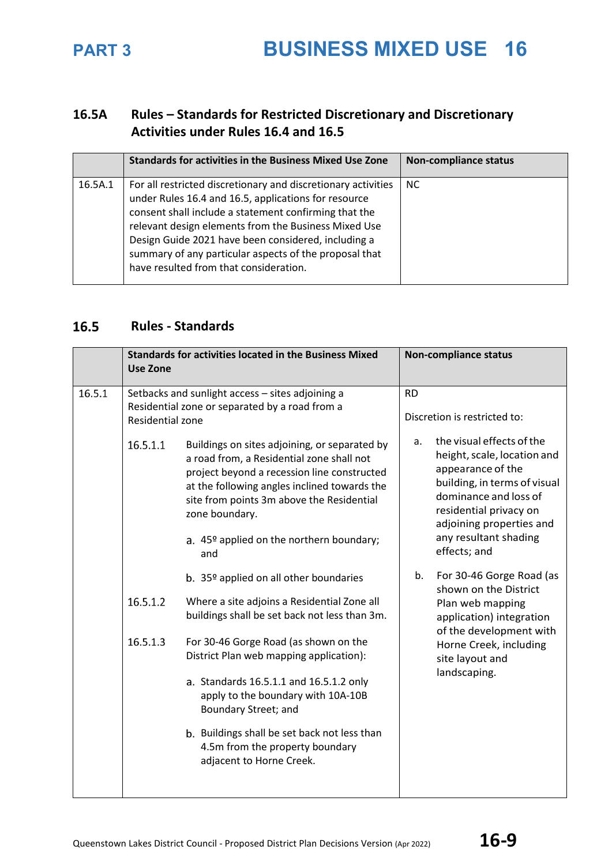### **16.5A Rules – Standards for Restricted Discretionary and Discretionary Activities under Rules 16.4 and 16.5**

|         | <b>Standards for activities in the Business Mixed Use Zone</b>                                                                                                                                                                                                                                                                                                                                    | <b>Non-compliance status</b> |
|---------|---------------------------------------------------------------------------------------------------------------------------------------------------------------------------------------------------------------------------------------------------------------------------------------------------------------------------------------------------------------------------------------------------|------------------------------|
| 16.5A.1 | For all restricted discretionary and discretionary activities<br>under Rules 16.4 and 16.5, applications for resource<br>consent shall include a statement confirming that the<br>relevant design elements from the Business Mixed Use<br>Design Guide 2021 have been considered, including a<br>summary of any particular aspects of the proposal that<br>have resulted from that consideration. | <b>NC</b>                    |

### **Rules - Standards**

|        | <b>Use Zone</b>                                                                                                        | <b>Standards for activities located in the Business Mixed</b>                                                                                                                                                                                                                                                                                                                                                                                                                                                                                                                                                                                                                                                                                                                 |                                           | <b>Non-compliance status</b>                                                                                                                                                                                                                                                                                                                                                                                                       |
|--------|------------------------------------------------------------------------------------------------------------------------|-------------------------------------------------------------------------------------------------------------------------------------------------------------------------------------------------------------------------------------------------------------------------------------------------------------------------------------------------------------------------------------------------------------------------------------------------------------------------------------------------------------------------------------------------------------------------------------------------------------------------------------------------------------------------------------------------------------------------------------------------------------------------------|-------------------------------------------|------------------------------------------------------------------------------------------------------------------------------------------------------------------------------------------------------------------------------------------------------------------------------------------------------------------------------------------------------------------------------------------------------------------------------------|
| 16.5.1 | Setbacks and sunlight access - sites adjoining a<br>Residential zone or separated by a road from a<br>Residential zone |                                                                                                                                                                                                                                                                                                                                                                                                                                                                                                                                                                                                                                                                                                                                                                               | <b>RD</b><br>Discretion is restricted to: |                                                                                                                                                                                                                                                                                                                                                                                                                                    |
|        | 16.5.1.1<br>16.5.1.2<br>16.5.1.3                                                                                       | Buildings on sites adjoining, or separated by<br>a road from, a Residential zone shall not<br>project beyond a recession line constructed<br>at the following angles inclined towards the<br>site from points 3m above the Residential<br>zone boundary.<br>a. 45º applied on the northern boundary;<br>and<br>b. 35 <sup>o</sup> applied on all other boundaries<br>Where a site adjoins a Residential Zone all<br>buildings shall be set back not less than 3m.<br>For 30-46 Gorge Road (as shown on the<br>District Plan web mapping application):<br>a. Standards 16.5.1.1 and 16.5.1.2 only<br>apply to the boundary with 10A-10B<br>Boundary Street; and<br>b. Buildings shall be set back not less than<br>4.5m from the property boundary<br>adjacent to Horne Creek. | a.<br>b.                                  | the visual effects of the<br>height, scale, location and<br>appearance of the<br>building, in terms of visual<br>dominance and loss of<br>residential privacy on<br>adjoining properties and<br>any resultant shading<br>effects; and<br>For 30-46 Gorge Road (as<br>shown on the District<br>Plan web mapping<br>application) integration<br>of the development with<br>Horne Creek, including<br>site layout and<br>landscaping. |
|        |                                                                                                                        |                                                                                                                                                                                                                                                                                                                                                                                                                                                                                                                                                                                                                                                                                                                                                                               |                                           |                                                                                                                                                                                                                                                                                                                                                                                                                                    |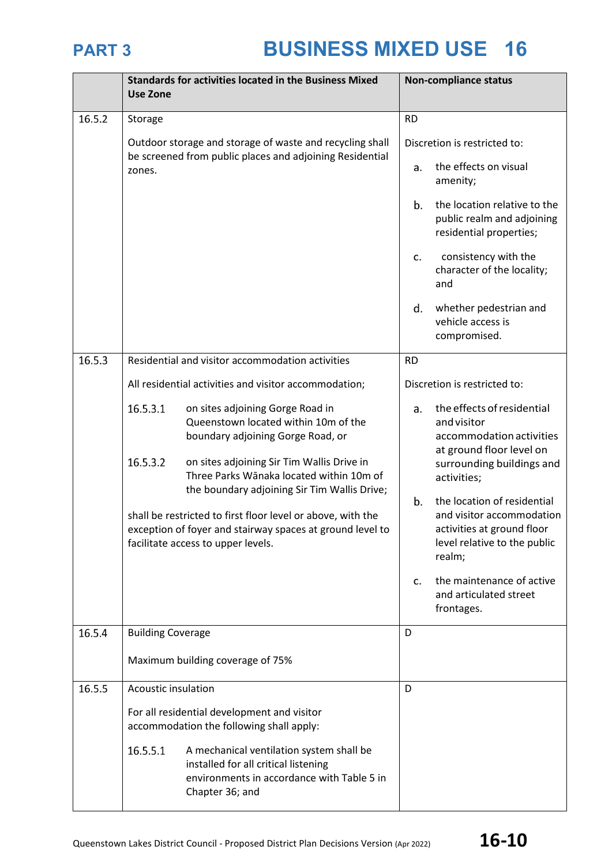|        | <b>Use Zone</b>          | <b>Standards for activities located in the Business Mixed</b>                                                                                                  |           | <b>Non-compliance status</b>                                                                                                     |
|--------|--------------------------|----------------------------------------------------------------------------------------------------------------------------------------------------------------|-----------|----------------------------------------------------------------------------------------------------------------------------------|
| 16.5.2 | Storage                  |                                                                                                                                                                | <b>RD</b> |                                                                                                                                  |
|        |                          | Outdoor storage and storage of waste and recycling shall                                                                                                       |           | Discretion is restricted to:                                                                                                     |
|        | zones.                   | be screened from public places and adjoining Residential                                                                                                       |           | the effects on visual<br>amenity;                                                                                                |
|        |                          |                                                                                                                                                                | b.        | the location relative to the<br>public realm and adjoining<br>residential properties;                                            |
|        |                          |                                                                                                                                                                | c.        | consistency with the<br>character of the locality;<br>and                                                                        |
|        |                          |                                                                                                                                                                | d.        | whether pedestrian and<br>vehicle access is<br>compromised.                                                                      |
| 16.5.3 |                          | Residential and visitor accommodation activities                                                                                                               | <b>RD</b> |                                                                                                                                  |
|        |                          | All residential activities and visitor accommodation;                                                                                                          |           | Discretion is restricted to:                                                                                                     |
|        | 16.5.3.1                 | on sites adjoining Gorge Road in<br>Queenstown located within 10m of the<br>boundary adjoining Gorge Road, or                                                  | a.        | the effects of residential<br>and visitor<br>accommodation activities<br>at ground floor level on                                |
|        | 16.5.3.2                 | on sites adjoining Sir Tim Wallis Drive in<br>Three Parks Wānaka located within 10m of<br>the boundary adjoining Sir Tim Wallis Drive;                         |           | surrounding buildings and<br>activities;                                                                                         |
|        |                          | shall be restricted to first floor level or above, with the<br>exception of foyer and stairway spaces at ground level to<br>facilitate access to upper levels. | b.        | the location of residential<br>and visitor accommodation<br>activities at ground floor<br>level relative to the public<br>realm; |
|        |                          |                                                                                                                                                                | c.        | the maintenance of active<br>and articulated street<br>frontages.                                                                |
| 16.5.4 | <b>Building Coverage</b> |                                                                                                                                                                | D         |                                                                                                                                  |
|        |                          | Maximum building coverage of 75%                                                                                                                               |           |                                                                                                                                  |
| 16.5.5 | Acoustic insulation      |                                                                                                                                                                | D         |                                                                                                                                  |
|        |                          | For all residential development and visitor<br>accommodation the following shall apply:                                                                        |           |                                                                                                                                  |
|        | 16.5.5.1                 | A mechanical ventilation system shall be<br>installed for all critical listening<br>environments in accordance with Table 5 in<br>Chapter 36; and              |           |                                                                                                                                  |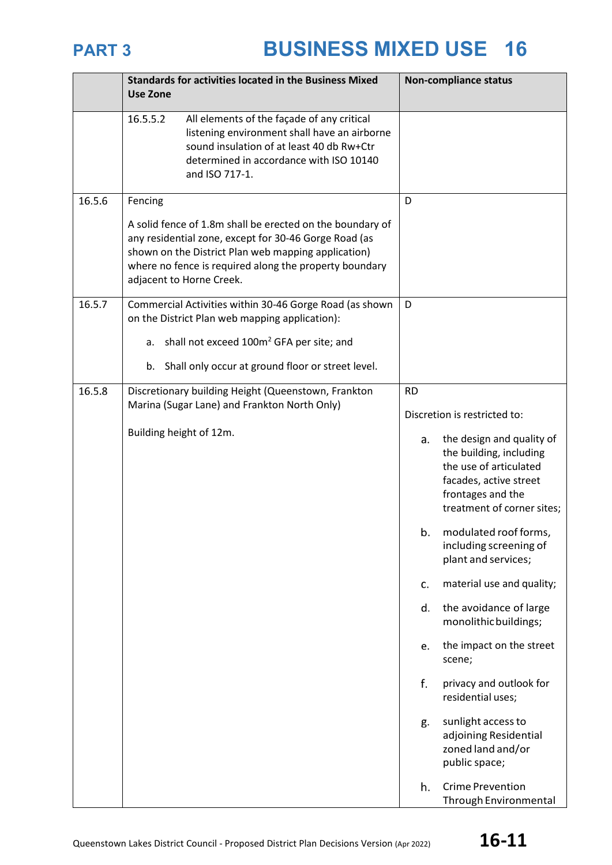|        | <b>Standards for activities located in the Business Mixed</b><br><b>Use Zone</b>                                                                                                                                                                                           | <b>Non-compliance status</b>                                                                                                                                                                                                                                                                                                                                                                                                                                                                                                                                                                                          |
|--------|----------------------------------------------------------------------------------------------------------------------------------------------------------------------------------------------------------------------------------------------------------------------------|-----------------------------------------------------------------------------------------------------------------------------------------------------------------------------------------------------------------------------------------------------------------------------------------------------------------------------------------------------------------------------------------------------------------------------------------------------------------------------------------------------------------------------------------------------------------------------------------------------------------------|
|        | 16.5.5.2<br>All elements of the façade of any critical<br>listening environment shall have an airborne<br>sound insulation of at least 40 db Rw+Ctr<br>determined in accordance with ISO 10140<br>and ISO 717-1.                                                           |                                                                                                                                                                                                                                                                                                                                                                                                                                                                                                                                                                                                                       |
| 16.5.6 | Fencing<br>A solid fence of 1.8m shall be erected on the boundary of<br>any residential zone, except for 30-46 Gorge Road (as<br>shown on the District Plan web mapping application)<br>where no fence is required along the property boundary<br>adjacent to Horne Creek. | D                                                                                                                                                                                                                                                                                                                                                                                                                                                                                                                                                                                                                     |
| 16.5.7 | Commercial Activities within 30-46 Gorge Road (as shown<br>on the District Plan web mapping application):                                                                                                                                                                  | D                                                                                                                                                                                                                                                                                                                                                                                                                                                                                                                                                                                                                     |
|        | a. shall not exceed 100m <sup>2</sup> GFA per site; and                                                                                                                                                                                                                    |                                                                                                                                                                                                                                                                                                                                                                                                                                                                                                                                                                                                                       |
|        | Shall only occur at ground floor or street level.<br>b.                                                                                                                                                                                                                    |                                                                                                                                                                                                                                                                                                                                                                                                                                                                                                                                                                                                                       |
| 16.5.8 | Discretionary building Height (Queenstown, Frankton<br>Marina (Sugar Lane) and Frankton North Only)<br>Building height of 12m.                                                                                                                                             | <b>RD</b><br>Discretion is restricted to:<br>the design and quality of<br>a.<br>the building, including<br>the use of articulated<br>facades, active street<br>frontages and the<br>treatment of corner sites;<br>b. modulated roof forms,<br>including screening of<br>plant and services;<br>material use and quality;<br>c.<br>the avoidance of large<br>d.<br>monolithic buildings;<br>the impact on the street<br>e.<br>scene;<br>f.<br>privacy and outlook for<br>residential uses;<br>sunlight access to<br>g.<br>adjoining Residential<br>zoned land and/or<br>public space;<br>h.<br><b>Crime Prevention</b> |
|        |                                                                                                                                                                                                                                                                            | Through Environmental                                                                                                                                                                                                                                                                                                                                                                                                                                                                                                                                                                                                 |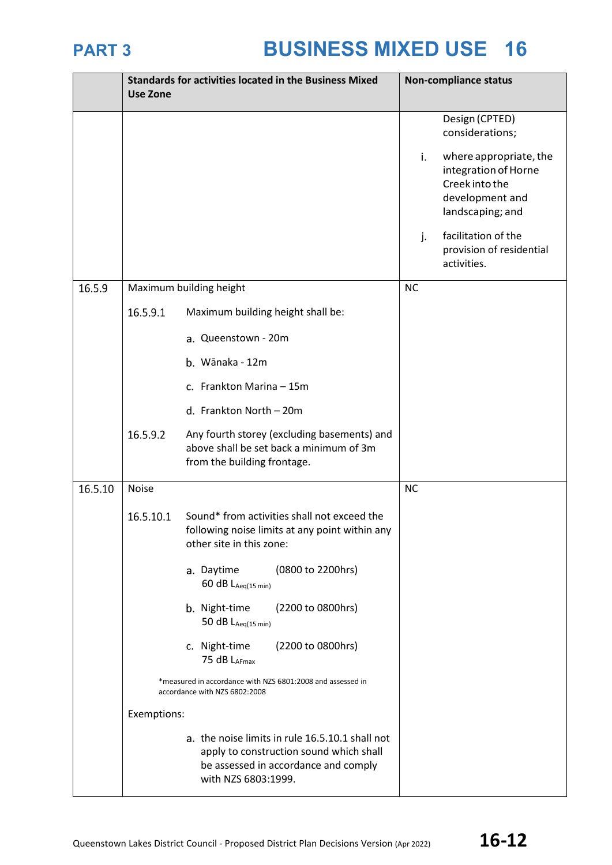|         | <b>Use Zone</b> | <b>Standards for activities located in the Business Mixed</b>                                                                                             | <b>Non-compliance status</b>                                                                                  |  |
|---------|-----------------|-----------------------------------------------------------------------------------------------------------------------------------------------------------|---------------------------------------------------------------------------------------------------------------|--|
|         |                 |                                                                                                                                                           | Design (CPTED)<br>considerations;                                                                             |  |
|         |                 |                                                                                                                                                           | where appropriate, the<br>i.<br>integration of Horne<br>Creek into the<br>development and<br>landscaping; and |  |
|         |                 |                                                                                                                                                           | facilitation of the<br>j.<br>provision of residential<br>activities.                                          |  |
| 16.5.9  |                 | Maximum building height                                                                                                                                   | <b>NC</b>                                                                                                     |  |
|         | 16.5.9.1        | Maximum building height shall be:                                                                                                                         |                                                                                                               |  |
|         |                 | a. Queenstown - 20m                                                                                                                                       |                                                                                                               |  |
|         |                 | b. Wānaka - 12m                                                                                                                                           |                                                                                                               |  |
|         |                 | c. Frankton Marina - 15m                                                                                                                                  |                                                                                                               |  |
|         |                 | d. Frankton North - 20m                                                                                                                                   |                                                                                                               |  |
|         | 16.5.9.2        | Any fourth storey (excluding basements) and<br>above shall be set back a minimum of 3m<br>from the building frontage.                                     |                                                                                                               |  |
| 16.5.10 | Noise           |                                                                                                                                                           | <b>NC</b>                                                                                                     |  |
|         | 16.5.10.1       | Sound* from activities shall not exceed the<br>following noise limits at any point within any<br>other site in this zone:                                 |                                                                                                               |  |
|         |                 | (0800 to 2200hrs)<br>a. Daytime<br>60 dB $L_{Aeq(15 min)}$                                                                                                |                                                                                                               |  |
|         |                 | (2200 to 0800hrs)<br>b. Night-time<br>50 dB $L_{Aeq(15 min)}$                                                                                             |                                                                                                               |  |
|         |                 | c. Night-time<br>(2200 to 0800hrs)<br>75 dB LAFmax                                                                                                        |                                                                                                               |  |
|         |                 | *measured in accordance with NZS 6801:2008 and assessed in<br>accordance with NZS 6802:2008                                                               |                                                                                                               |  |
|         | Exemptions:     |                                                                                                                                                           |                                                                                                               |  |
|         |                 | a. the noise limits in rule 16.5.10.1 shall not<br>apply to construction sound which shall<br>be assessed in accordance and comply<br>with NZS 6803:1999. |                                                                                                               |  |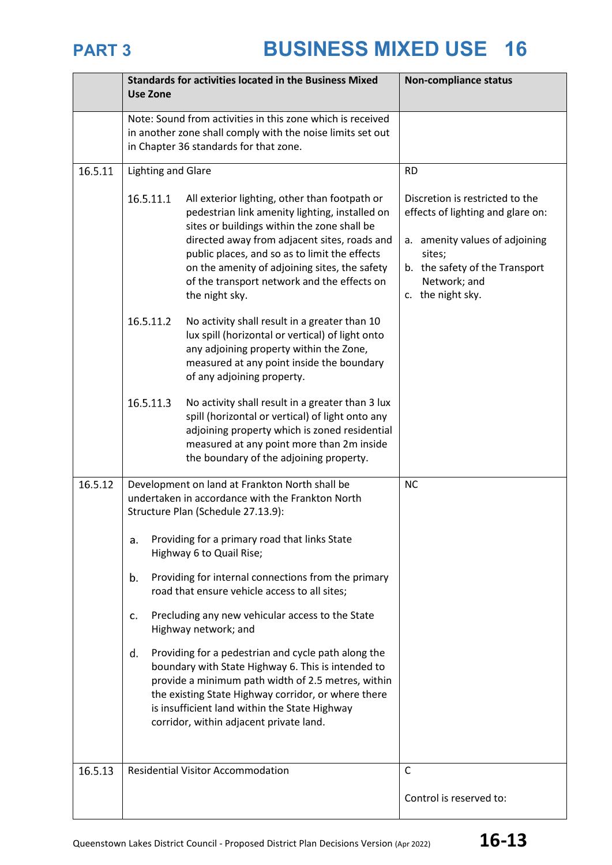|         | <b>Standards for activities located in the Business Mixed</b><br><b>Use Zone</b>                                                                                                                                                                                                                                                                                               | <b>Non-compliance status</b>                                                                                                                                                            |
|---------|--------------------------------------------------------------------------------------------------------------------------------------------------------------------------------------------------------------------------------------------------------------------------------------------------------------------------------------------------------------------------------|-----------------------------------------------------------------------------------------------------------------------------------------------------------------------------------------|
|         | Note: Sound from activities in this zone which is received<br>in another zone shall comply with the noise limits set out<br>in Chapter 36 standards for that zone.                                                                                                                                                                                                             |                                                                                                                                                                                         |
| 16.5.11 | <b>Lighting and Glare</b>                                                                                                                                                                                                                                                                                                                                                      | <b>RD</b>                                                                                                                                                                               |
|         | 16.5.11.1<br>All exterior lighting, other than footpath or<br>pedestrian link amenity lighting, installed on<br>sites or buildings within the zone shall be<br>directed away from adjacent sites, roads and<br>public places, and so as to limit the effects<br>on the amenity of adjoining sites, the safety<br>of the transport network and the effects on<br>the night sky. | Discretion is restricted to the<br>effects of lighting and glare on:<br>a. amenity values of adjoining<br>sites;<br>b. the safety of the Transport<br>Network; and<br>c. the night sky. |
|         | 16.5.11.2<br>No activity shall result in a greater than 10<br>lux spill (horizontal or vertical) of light onto<br>any adjoining property within the Zone,<br>measured at any point inside the boundary<br>of any adjoining property.                                                                                                                                           |                                                                                                                                                                                         |
|         | 16.5.11.3<br>No activity shall result in a greater than 3 lux<br>spill (horizontal or vertical) of light onto any<br>adjoining property which is zoned residential<br>measured at any point more than 2m inside<br>the boundary of the adjoining property.                                                                                                                     |                                                                                                                                                                                         |
| 16.5.12 | Development on land at Frankton North shall be<br>undertaken in accordance with the Frankton North<br>Structure Plan (Schedule 27.13.9):                                                                                                                                                                                                                                       | <b>NC</b>                                                                                                                                                                               |
|         | Providing for a primary road that links State<br>a.<br>Highway 6 to Quail Rise;                                                                                                                                                                                                                                                                                                |                                                                                                                                                                                         |
|         | Providing for internal connections from the primary<br>b.<br>road that ensure vehicle access to all sites;                                                                                                                                                                                                                                                                     |                                                                                                                                                                                         |
|         | Precluding any new vehicular access to the State<br>c.<br>Highway network; and                                                                                                                                                                                                                                                                                                 |                                                                                                                                                                                         |
|         | Providing for a pedestrian and cycle path along the<br>d.<br>boundary with State Highway 6. This is intended to<br>provide a minimum path width of 2.5 metres, within<br>the existing State Highway corridor, or where there<br>is insufficient land within the State Highway<br>corridor, within adjacent private land.                                                       |                                                                                                                                                                                         |
| 16.5.13 | <b>Residential Visitor Accommodation</b>                                                                                                                                                                                                                                                                                                                                       | $\mathsf{C}$                                                                                                                                                                            |
|         |                                                                                                                                                                                                                                                                                                                                                                                | Control is reserved to:                                                                                                                                                                 |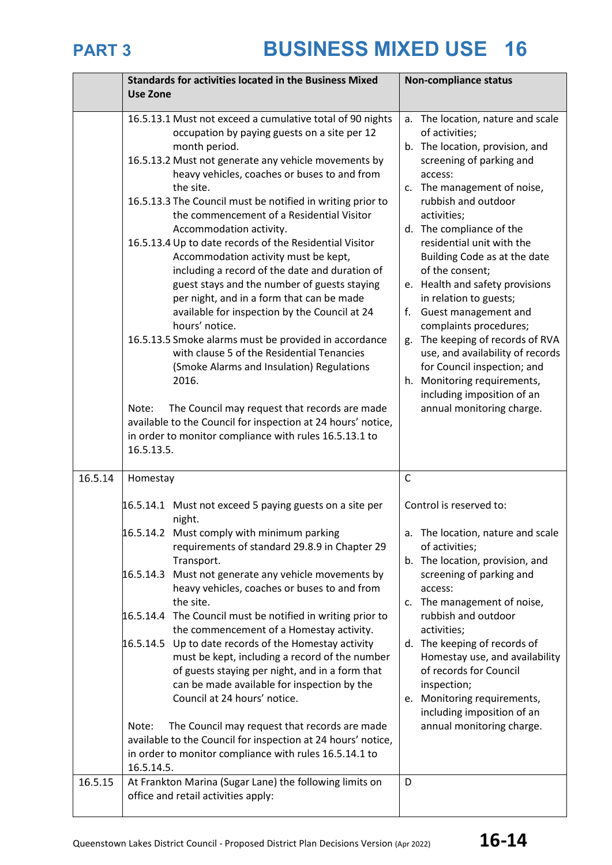|         | <b>Standards for activities located in the Business Mixed</b>                                                                                                                                                                                                                                                                                                                                                                                                                                                                                                                                                                                                                                                                                                                                                                                                                                                                                                                                                                                               | <b>Non-compliance status</b>                                                                                                                                                                                                                                                                                                                                                                                                                                                                                                                                                                                                            |
|---------|-------------------------------------------------------------------------------------------------------------------------------------------------------------------------------------------------------------------------------------------------------------------------------------------------------------------------------------------------------------------------------------------------------------------------------------------------------------------------------------------------------------------------------------------------------------------------------------------------------------------------------------------------------------------------------------------------------------------------------------------------------------------------------------------------------------------------------------------------------------------------------------------------------------------------------------------------------------------------------------------------------------------------------------------------------------|-----------------------------------------------------------------------------------------------------------------------------------------------------------------------------------------------------------------------------------------------------------------------------------------------------------------------------------------------------------------------------------------------------------------------------------------------------------------------------------------------------------------------------------------------------------------------------------------------------------------------------------------|
|         | <b>Use Zone</b>                                                                                                                                                                                                                                                                                                                                                                                                                                                                                                                                                                                                                                                                                                                                                                                                                                                                                                                                                                                                                                             |                                                                                                                                                                                                                                                                                                                                                                                                                                                                                                                                                                                                                                         |
|         |                                                                                                                                                                                                                                                                                                                                                                                                                                                                                                                                                                                                                                                                                                                                                                                                                                                                                                                                                                                                                                                             |                                                                                                                                                                                                                                                                                                                                                                                                                                                                                                                                                                                                                                         |
|         | 16.5.13.1 Must not exceed a cumulative total of 90 nights<br>occupation by paying guests on a site per 12<br>month period.<br>16.5.13.2 Must not generate any vehicle movements by<br>heavy vehicles, coaches or buses to and from<br>the site.<br>16.5.13.3 The Council must be notified in writing prior to<br>the commencement of a Residential Visitor<br>Accommodation activity.<br>16.5.13.4 Up to date records of the Residential Visitor<br>Accommodation activity must be kept,<br>including a record of the date and duration of<br>guest stays and the number of guests staying<br>per night, and in a form that can be made<br>available for inspection by the Council at 24<br>hours' notice.<br>16.5.13.5 Smoke alarms must be provided in accordance<br>with clause 5 of the Residential Tenancies<br>(Smoke Alarms and Insulation) Regulations<br>2016.<br>Note:<br>The Council may request that records are made<br>available to the Council for inspection at 24 hours' notice,<br>in order to monitor compliance with rules 16.5.13.1 to | a. The location, nature and scale<br>of activities;<br>b. The location, provision, and<br>screening of parking and<br>access:<br>c. The management of noise,<br>rubbish and outdoor<br>activities;<br>d. The compliance of the<br>residential unit with the<br>Building Code as at the date<br>of the consent;<br>e. Health and safety provisions<br>in relation to guests;<br>Guest management and<br>f.<br>complaints procedures;<br>The keeping of records of RVA<br>g.<br>use, and availability of records<br>for Council inspection; and<br>h. Monitoring requirements,<br>including imposition of an<br>annual monitoring charge. |
|         | 16.5.13.5.                                                                                                                                                                                                                                                                                                                                                                                                                                                                                                                                                                                                                                                                                                                                                                                                                                                                                                                                                                                                                                                  |                                                                                                                                                                                                                                                                                                                                                                                                                                                                                                                                                                                                                                         |
| 16.5.14 | Homestay                                                                                                                                                                                                                                                                                                                                                                                                                                                                                                                                                                                                                                                                                                                                                                                                                                                                                                                                                                                                                                                    | $\mathsf{C}$                                                                                                                                                                                                                                                                                                                                                                                                                                                                                                                                                                                                                            |
|         | 16.5.14.1 Must not exceed 5 paying guests on a site per<br>night.                                                                                                                                                                                                                                                                                                                                                                                                                                                                                                                                                                                                                                                                                                                                                                                                                                                                                                                                                                                           | Control is reserved to:                                                                                                                                                                                                                                                                                                                                                                                                                                                                                                                                                                                                                 |
|         | 16.5.14.2 Must comply with minimum parking<br>requirements of standard 29.8.9 in Chapter 29<br>Transport.                                                                                                                                                                                                                                                                                                                                                                                                                                                                                                                                                                                                                                                                                                                                                                                                                                                                                                                                                   | a. The location, nature and scale<br>of activities;<br>b. The location, provision, and                                                                                                                                                                                                                                                                                                                                                                                                                                                                                                                                                  |
|         | 16.5.14.3 Must not generate any vehicle movements by<br>heavy vehicles, coaches or buses to and from<br>the site.                                                                                                                                                                                                                                                                                                                                                                                                                                                                                                                                                                                                                                                                                                                                                                                                                                                                                                                                           | screening of parking and<br>access:<br>c. The management of noise,                                                                                                                                                                                                                                                                                                                                                                                                                                                                                                                                                                      |
|         | 16.5.14.4 The Council must be notified in writing prior to<br>the commencement of a Homestay activity.                                                                                                                                                                                                                                                                                                                                                                                                                                                                                                                                                                                                                                                                                                                                                                                                                                                                                                                                                      | rubbish and outdoor<br>activities;                                                                                                                                                                                                                                                                                                                                                                                                                                                                                                                                                                                                      |
|         | $16.5.14.5$ Up to date records of the Homestay activity<br>must be kept, including a record of the number<br>of guests staying per night, and in a form that<br>can be made available for inspection by the<br>Council at 24 hours' notice.                                                                                                                                                                                                                                                                                                                                                                                                                                                                                                                                                                                                                                                                                                                                                                                                                 | d. The keeping of records of<br>Homestay use, and availability<br>of records for Council<br>inspection;<br>e. Monitoring requirements,<br>including imposition of an                                                                                                                                                                                                                                                                                                                                                                                                                                                                    |
|         | The Council may request that records are made<br>Note:<br>available to the Council for inspection at 24 hours' notice,<br>in order to monitor compliance with rules 16.5.14.1 to                                                                                                                                                                                                                                                                                                                                                                                                                                                                                                                                                                                                                                                                                                                                                                                                                                                                            | annual monitoring charge.                                                                                                                                                                                                                                                                                                                                                                                                                                                                                                                                                                                                               |
|         | 16.5.14.5.                                                                                                                                                                                                                                                                                                                                                                                                                                                                                                                                                                                                                                                                                                                                                                                                                                                                                                                                                                                                                                                  |                                                                                                                                                                                                                                                                                                                                                                                                                                                                                                                                                                                                                                         |
| 16.5.15 | At Frankton Marina (Sugar Lane) the following limits on<br>office and retail activities apply:                                                                                                                                                                                                                                                                                                                                                                                                                                                                                                                                                                                                                                                                                                                                                                                                                                                                                                                                                              | D                                                                                                                                                                                                                                                                                                                                                                                                                                                                                                                                                                                                                                       |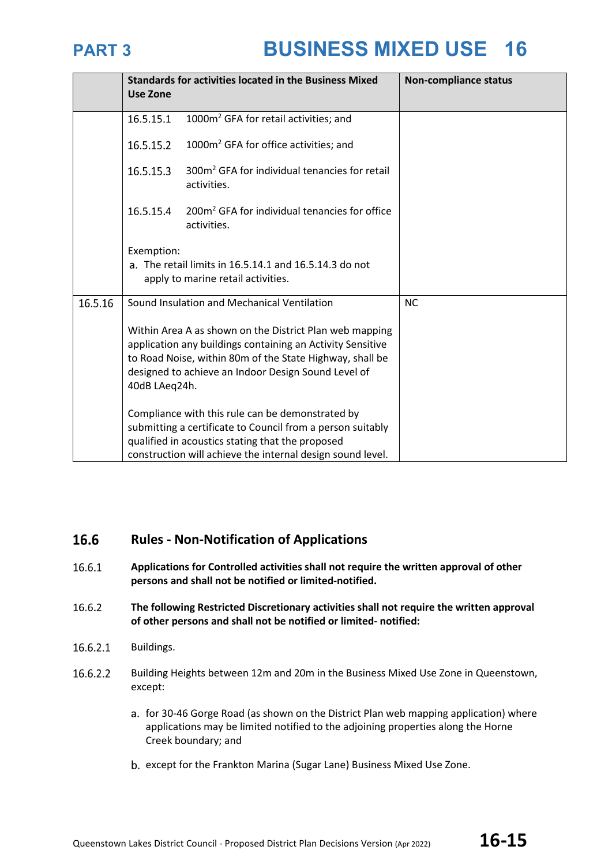

|         | <b>Standards for activities located in the Business Mixed</b><br><b>Use Zone</b> |                                                                                                                                                                                                                                          | <b>Non-compliance status</b> |
|---------|----------------------------------------------------------------------------------|------------------------------------------------------------------------------------------------------------------------------------------------------------------------------------------------------------------------------------------|------------------------------|
|         | 16.5.15.1                                                                        | 1000m <sup>2</sup> GFA for retail activities; and                                                                                                                                                                                        |                              |
|         | 16.5.15.2                                                                        | 1000m <sup>2</sup> GFA for office activities; and                                                                                                                                                                                        |                              |
|         | 16.5.15.3                                                                        | 300m <sup>2</sup> GFA for individual tenancies for retail<br>activities.                                                                                                                                                                 |                              |
|         | 16.5.15.4                                                                        | 200m <sup>2</sup> GFA for individual tenancies for office<br>activities.                                                                                                                                                                 |                              |
|         | Exemption:                                                                       | a. The retail limits in 16.5.14.1 and 16.5.14.3 do not<br>apply to marine retail activities.                                                                                                                                             |                              |
| 16.5.16 | Sound Insulation and Mechanical Ventilation                                      |                                                                                                                                                                                                                                          | <b>NC</b>                    |
|         | 40dB LAeq24h.                                                                    | Within Area A as shown on the District Plan web mapping<br>application any buildings containing an Activity Sensitive<br>to Road Noise, within 80m of the State Highway, shall be<br>designed to achieve an Indoor Design Sound Level of |                              |
|         |                                                                                  | Compliance with this rule can be demonstrated by                                                                                                                                                                                         |                              |
|         |                                                                                  | submitting a certificate to Council from a person suitably<br>qualified in acoustics stating that the proposed                                                                                                                           |                              |
|         |                                                                                  | construction will achieve the internal design sound level.                                                                                                                                                                               |                              |

### 16.6 **Rules - Non-Notification of Applications**

- 16.6.1 **Applications for Controlled activities shall not require the written approval of other persons and shall not be notified or limited-notified.**
- 16.6.2 **The following Restricted Discretionary activities shall not require the written approval of other persons and shall not be notified or limited- notified:**
- 16.6.2.1 Buildings.
- 16.6.2.2 Building Heights between 12m and 20m in the Business Mixed Use Zone in Queenstown, except:
	- a. for 30-46 Gorge Road (as shown on the District Plan web mapping application) where applications may be limited notified to the adjoining properties along the Horne Creek boundary; and
	- b. except for the Frankton Marina (Sugar Lane) Business Mixed Use Zone.